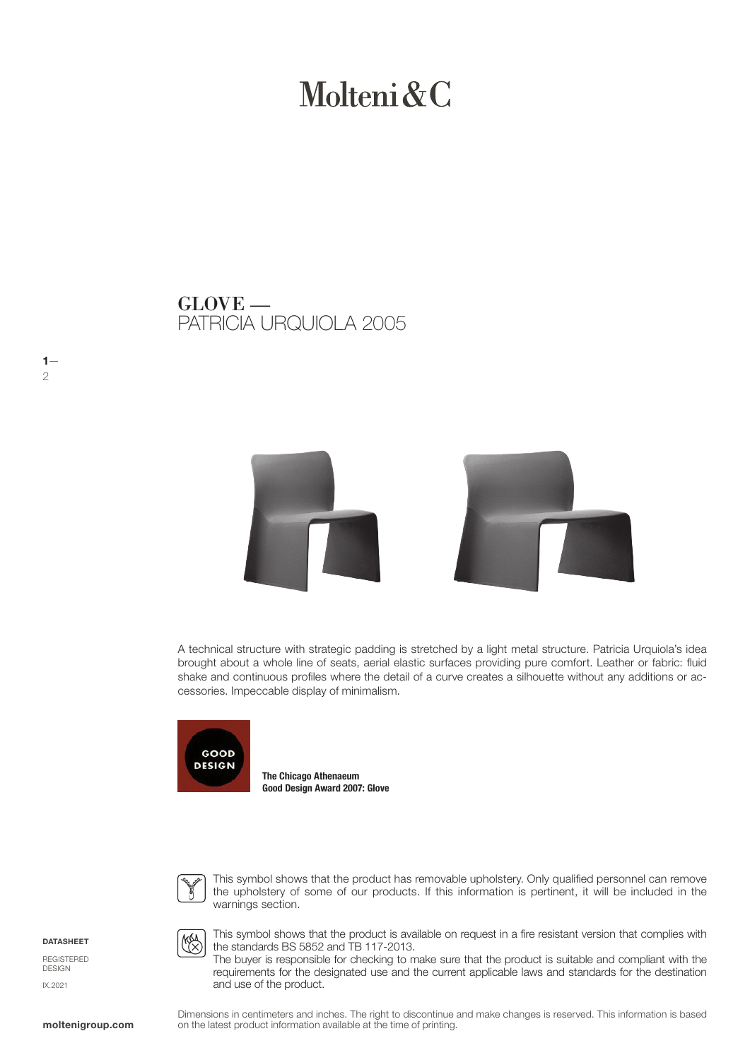# Molteni & C

PATRICIA URQUIOLA 2005 GLOVE —



A technical structure with strategic padding is stretched by a light metal structure. Patricia Urquiola's idea brought about a whole line of seats, aerial elastic surfaces providing pure comfort. Leather or fabric: fluid shake and continuous profiles where the detail of a curve creates a silhouette without any additions or accessories. Impeccable display of minimalism.



The Chicago Athenaeum Good Design Award 2007: Glove



This symbol shows that the product has removable upholstery. Only qualified personnel can remove the upholstery of some of our products. If this information is pertinent, it will be included in the warnings section.

**DATASHEET** 

 $1-$ 

2

REGISTERED DESIGN IX.2021

**MA** 

and use of the product.

This symbol shows that the product is available on request in a fire resistant version that complies with the standards BS 5852 and TB 117-2013. The buyer is responsible for checking to make sure that the product is suitable and compliant with the requirements for the designated use and the current applicable laws and standards for the destination

Dimensions in centimeters and inches. The right to discontinue and make changes is reserved. This information is based **moltenigroup.com** on the latest product information available at the time of printing.